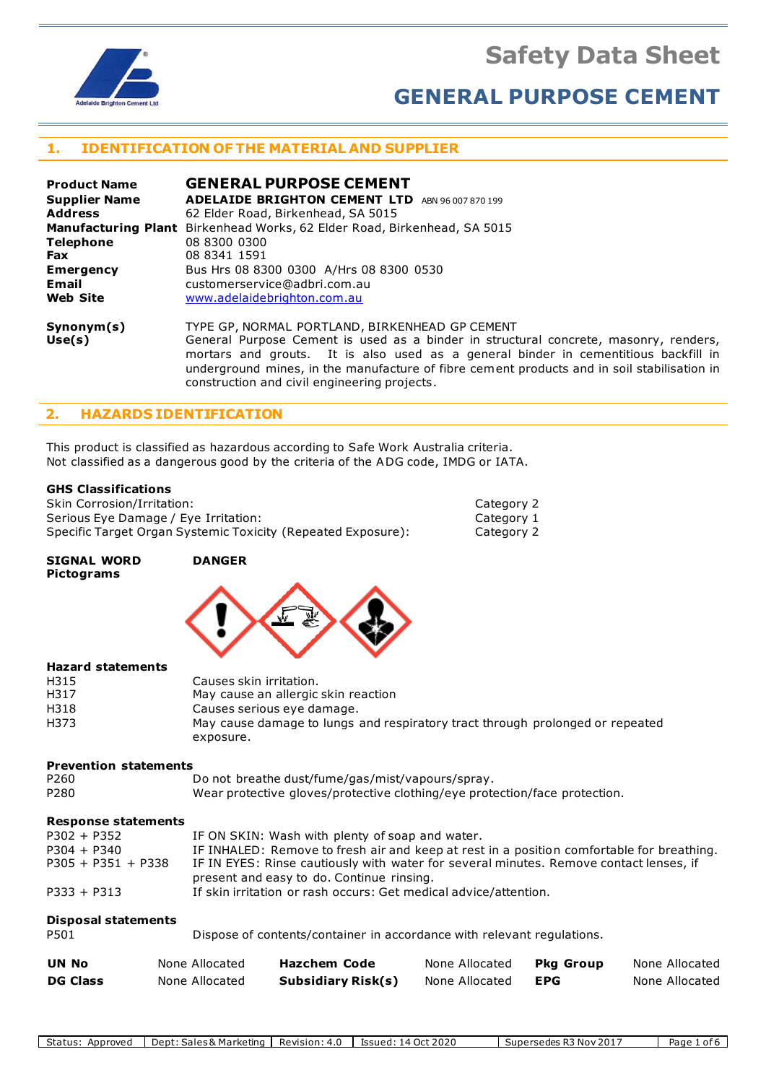**Safety Data Sheet**



# **GENERAL PURPOSE CEMENT**

Category 2 Category 1 Category 2

## **1. IDENTIFICATION OF THE MATERIAL AND SUPPLIER**

| <b>Product Name</b>  | <b>GENERAL PURPOSE CEMENT</b>                                                                                                                                                                                                                                                                                                |
|----------------------|------------------------------------------------------------------------------------------------------------------------------------------------------------------------------------------------------------------------------------------------------------------------------------------------------------------------------|
| <b>Supplier Name</b> | <b>ADELAIDE BRIGHTON CEMENT LTD</b><br>ABN 96 007 870 199                                                                                                                                                                                                                                                                    |
| <b>Address</b>       | 62 Elder Road, Birkenhead, SA 5015                                                                                                                                                                                                                                                                                           |
|                      | <b>Manufacturing Plant</b> Birkenhead Works, 62 Elder Road, Birkenhead, SA 5015                                                                                                                                                                                                                                              |
| <b>Telephone</b>     | 08 8300 0300                                                                                                                                                                                                                                                                                                                 |
| <b>Fax</b>           | 08 8341 1591                                                                                                                                                                                                                                                                                                                 |
| <b>Emergency</b>     | Bus Hrs 08 8300 0300 A/Hrs 08 8300 0530                                                                                                                                                                                                                                                                                      |
| Email                | customerservice@adbri.com.au                                                                                                                                                                                                                                                                                                 |
| <b>Web Site</b>      | www.adelaidebrighton.com.au                                                                                                                                                                                                                                                                                                  |
| Symonym(s)<br>Use(s) | TYPE GP, NORMAL PORTLAND, BIRKENHEAD GP CEMENT<br>General Purpose Cement is used as a binder in structural concrete, masonry, renders,<br>mortars and grouts. It is also used as a general binder in cementitious backfill in<br>underground mines, in the manufacture of fibre cement products and in soil stabilisation in |

#### **2. HAZARDS IDENTIFICATION**

This product is classified as hazardous according to Safe Work Australia criteria. Not classified as a dangerous good by the criteria of the ADG code, IMDG or IATA.

construction and civil engineering projects.

#### **GHS Classifications**

| <b>Skin Corrosion/Irritation:</b>                            |
|--------------------------------------------------------------|
| Serious Eye Damage / Eye Irritation:                         |
| Specific Target Organ Systemic Toxicity (Repeated Exposure): |

#### **SIGNAL WORD DANGER Pictograms**



#### **Hazard statements**

| H315 | Causes skin irritation.                                                       |
|------|-------------------------------------------------------------------------------|
| H317 | May cause an allergic skin reaction                                           |
| H318 | Causes serious eye damage.                                                    |
| H373 | May cause damage to lungs and respiratory tract through prolonged or repeated |
|      | exposure.                                                                     |

#### **Prevention statements**

P260 Do not breathe dust/fume/gas/mist/vapours/spray. P280 Wear protective gloves/protective clothing/eye protection/face protection.

#### **Response statements**

| $P302 + P352$        | IF ON SKIN: Wash with plenty of soap and water.                                                                                     |
|----------------------|-------------------------------------------------------------------------------------------------------------------------------------|
| $P304 + P340$        | IF INHALED: Remove to fresh air and keep at rest in a position comfortable for breathing.                                           |
| $P305 + P351 + P338$ | IF IN EYES: Rinse cautiously with water for several minutes. Remove contact lenses, if<br>present and easy to do. Continue rinsing. |
| $P333 + P313$        | If skin irritation or rash occurs: Get medical advice/attention.                                                                    |
|                      |                                                                                                                                     |

#### **Disposal statements**

| P501 | Dispose of contents/container in accordance with relevant regulations. |
|------|------------------------------------------------------------------------|
|------|------------------------------------------------------------------------|

| <b>UN No</b>    | None Allocated | <b>Hazchem Code</b>       | None Allocated | Pka Group | None Allocated |
|-----------------|----------------|---------------------------|----------------|-----------|----------------|
| <b>DG Class</b> | None Allocated | <b>Subsidiary Risk(s)</b> | None Allocated | EPG       | None Allocated |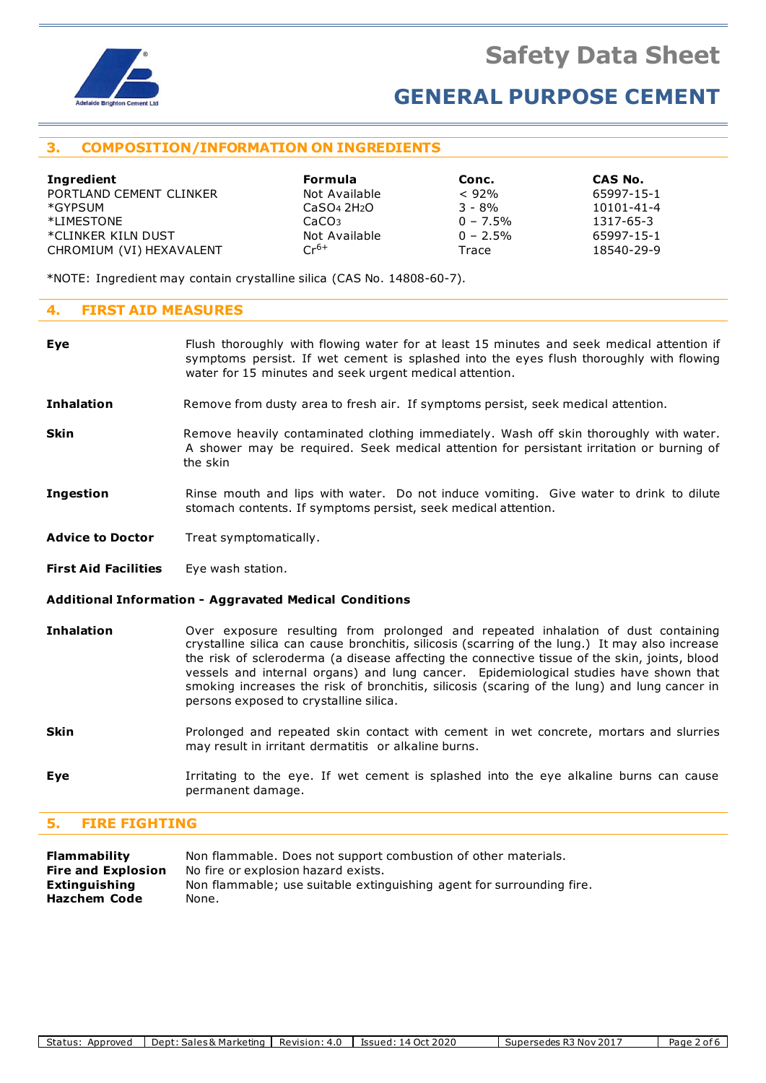

## **3. COMPOSITION/INFORMATION ON INGREDIENTS**

| Ingredient               | <b>Formula</b>                      | Conc.       | CAS No.          |
|--------------------------|-------------------------------------|-------------|------------------|
| PORTLAND CEMENT CLINKER  | Not Available                       | $< 92\%$    | 65997-15-1       |
| *GYPSUM                  | CaSO <sub>4</sub> 2H <sub>2</sub> O | $3 - 8%$    | $10101 - 41 - 4$ |
| *LIMESTONE               | CaCO <sub>3</sub>                   | $0 - 7.5\%$ | 1317-65-3        |
| *CLINKER KILN DUST       | Not Available                       | $0 - 2.5\%$ | 65997-15-1       |
| CHROMIUM (VI) HEXAVALENT | $Cr^{6+}$                           | Trace       | 18540-29-9       |

\*NOTE: Ingredient may contain crystalline silica (CAS No. 14808-60-7).

## **4. FIRST AID MEASURES**

| Eye                         | Flush thoroughly with flowing water for at least 15 minutes and seek medical attention if<br>symptoms persist. If wet cement is splashed into the eyes flush thoroughly with flowing<br>water for 15 minutes and seek urgent medical attention.                                                                                                                                                                                                                                                                          |  |  |  |  |
|-----------------------------|--------------------------------------------------------------------------------------------------------------------------------------------------------------------------------------------------------------------------------------------------------------------------------------------------------------------------------------------------------------------------------------------------------------------------------------------------------------------------------------------------------------------------|--|--|--|--|
| <b>Inhalation</b>           | Remove from dusty area to fresh air. If symptoms persist, seek medical attention.                                                                                                                                                                                                                                                                                                                                                                                                                                        |  |  |  |  |
| <b>Skin</b>                 | Remove heavily contaminated clothing immediately. Wash off skin thoroughly with water.<br>A shower may be required. Seek medical attention for persistant irritation or burning of<br>the skin                                                                                                                                                                                                                                                                                                                           |  |  |  |  |
| <b>Ingestion</b>            | Rinse mouth and lips with water. Do not induce vomiting. Give water to drink to dilute<br>stomach contents. If symptoms persist, seek medical attention.                                                                                                                                                                                                                                                                                                                                                                 |  |  |  |  |
| <b>Advice to Doctor</b>     | Treat symptomatically.                                                                                                                                                                                                                                                                                                                                                                                                                                                                                                   |  |  |  |  |
| <b>First Aid Facilities</b> | Eye wash station.                                                                                                                                                                                                                                                                                                                                                                                                                                                                                                        |  |  |  |  |
|                             | Additional Information - Aggravated Medical Conditions                                                                                                                                                                                                                                                                                                                                                                                                                                                                   |  |  |  |  |
| <b>Inhalation</b>           | Over exposure resulting from prolonged and repeated inhalation of dust containing<br>crystalline silica can cause bronchitis, silicosis (scarring of the lung.) It may also increase<br>the risk of scleroderma (a disease affecting the connective tissue of the skin, joints, blood<br>vessels and internal organs) and lung cancer. Epidemiological studies have shown that<br>smoking increases the risk of bronchitis, silicosis (scaring of the lung) and lung cancer in<br>persons exposed to crystalline silica. |  |  |  |  |
| <b>Skin</b>                 | Prolonged and repeated skin contact with cement in wet concrete, mortars and slurries<br>may result in irritant dermatitis or alkaline burns.                                                                                                                                                                                                                                                                                                                                                                            |  |  |  |  |
| Eye                         | Irritating to the eye. If wet cement is splashed into the eye alkaline burns can cause<br>permanent damage.                                                                                                                                                                                                                                                                                                                                                                                                              |  |  |  |  |

## **5. FIRE FIGHTING**

| Flammability              | Non flammable. Does not support combustion of other materials.        |
|---------------------------|-----------------------------------------------------------------------|
| <b>Fire and Explosion</b> | No fire or explosion hazard exists.                                   |
| Extinguishing             | Non flammable; use suitable extinguishing agent for surrounding fire. |
| Hazchem Code              | None.                                                                 |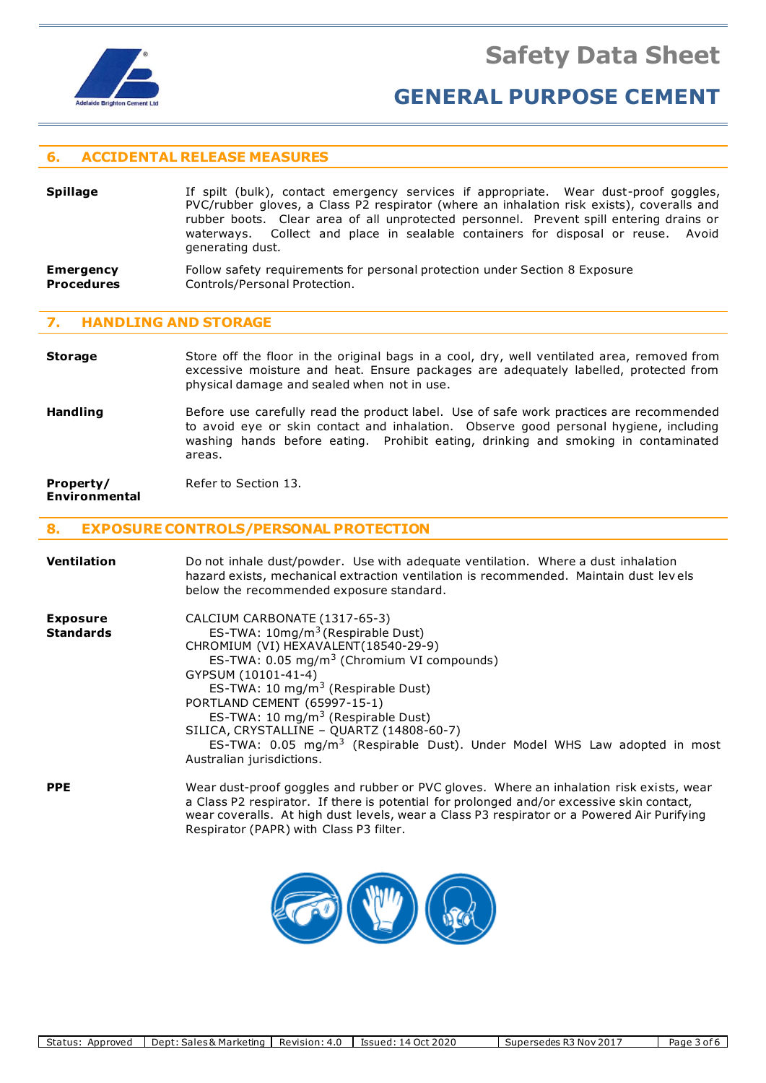

### **6. ACCIDENTAL RELEASE MEASURES**

- **Spillage** If spilt (bulk), contact emergency services if appropriate. Wear dust-proof goggles, PVC/rubber gloves, a Class P2 respirator (where an inhalation risk exists), coveralls and rubber boots. Clear area of all unprotected personnel. Prevent spill entering drains or waterways. Collect and place in sealable containers for disposal or reuse. Avoid generating dust.
- **Emergency** Follow safety requirements for personal protection under Section 8 Exposure **Procedures Controls/Personal Protection.**

#### **7. HANDLING AND STORAGE**

- **Storage** Store off the floor in the original bags in a cool, dry, well ventilated area, removed from excessive moisture and heat. Ensure packages are adequately labelled, protected from physical damage and sealed when not in use.
- **Handling** Before use carefully read the product label. Use of safe work practices are recommended to avoid eye or skin contact and inhalation. Observe good personal hygiene, including washing hands before eating. Prohibit eating, drinking and smoking in contaminated areas.

#### **Property/** Refer to Section 13. **Environmental**

#### **8. EXPOSURE CONTROLS/PERSONAL PROTECTION**

| Ventilation                         | Do not inhale dust/powder. Use with adequate ventilation. Where a dust inhalation<br>hazard exists, mechanical extraction ventilation is recommended. Maintain dust levels<br>below the recommended exposure standard.                                                                                                                                                                                                                                                                                         |  |  |  |  |  |
|-------------------------------------|----------------------------------------------------------------------------------------------------------------------------------------------------------------------------------------------------------------------------------------------------------------------------------------------------------------------------------------------------------------------------------------------------------------------------------------------------------------------------------------------------------------|--|--|--|--|--|
| <b>Exposure</b><br><b>Standards</b> | CALCIUM CARBONATE (1317-65-3)<br>ES-TWA: 10mg/m <sup>3</sup> (Respirable Dust)<br>CHROMIUM (VI) HEXAVALENT(18540-29-9)<br>ES-TWA: 0.05 mg/m <sup>3</sup> (Chromium VI compounds)<br>GYPSUM (10101-41-4)<br>ES-TWA: 10 mg/m <sup>3</sup> (Respirable Dust)<br>PORTLAND CEMENT (65997-15-1)<br>ES-TWA: 10 mg/m <sup>3</sup> (Respirable Dust)<br>SILICA, CRYSTALLINE - QUARTZ (14808-60-7)<br>ES-TWA: 0.05 mg/m <sup>3</sup> (Respirable Dust). Under Model WHS Law adopted in most<br>Australian jurisdictions. |  |  |  |  |  |
| <b>PPE</b>                          | Wear dust-proof goggles and rubber or PVC gloves. Where an inhalation risk exists, wear<br>a Class P2 respirator. If there is potential for prolonged and/or excessive skin contact,<br>wear coveralls. At high dust levels, wear a Class P3 respirator or a Powered Air Purifying<br>Respirator (PAPR) with Class P3 filter.                                                                                                                                                                                  |  |  |  |  |  |

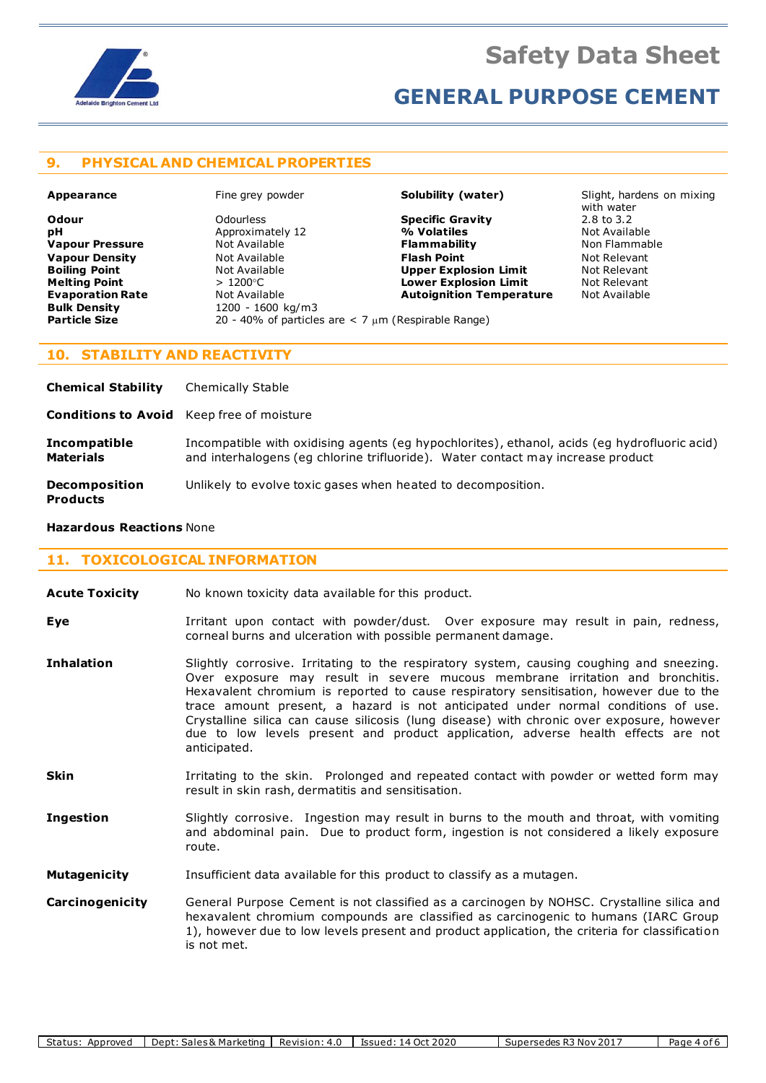

## **9. PHYSICAL AND CHEMICAL PROPERTIES**

**pH** Approximately 12 **Evaporation Rate Not Available <b>Autoignition Temperature** Not Available **Bulk Density Autoical Accompany Bulk Density Bulk Density** 1200 - 1600 kg/m3<br> **Particle Size** 20 - 40% of particle

**Odour** Odourless **Specific Gravity** 2.8 to 3.2 **Vapour Pressure** Not Available **Flammability** Non Flammable **Vapour Density** Not Available **Flash Point** Not Relevant **Boiling Point Not Available 19 (A) Upper Explosion Limit** Mot Relevant **Not Relevant Not Relevant Not Relevant Not Relevant Melting Point Comparison Accord Accord 2000 Lower Explosion Limit** Not Release Accord Point

**Appearance** Fine grey powder **Solubility (water)** Slight, hardens on mixing with water<br>2.8 to 3.2

### **10. STABILITY AND REACTIVITY**

| <b>Chemical Stability</b>                        | <b>Chemically Stable</b>                                                                                                                                                        |
|--------------------------------------------------|---------------------------------------------------------------------------------------------------------------------------------------------------------------------------------|
| <b>Conditions to Avoid</b> Keep free of moisture |                                                                                                                                                                                 |
| Incompatible<br><b>Materials</b>                 | Incompatible with oxidising agents (eg hypochlorites), ethanol, acids (eg hydrofluoric acid)<br>and interhalogens (eq chlorine trifluoride). Water contact may increase product |
| <b>Decomposition</b><br><b>Products</b>          | Unlikely to evolve toxic gases when heated to decomposition.                                                                                                                    |

**Particle Size** 20 - 40% of particles are < 7 m (Respirable Range)

#### **Hazardous Reactions** None

## **11. TOXICOLOGICAL INFORMATION**

- **Acute Toxicity** No known toxicity data available for this product.
- **Eye I**rritant upon contact with powder/dust. Over exposure may result in pain, redness, corneal burns and ulceration with possible permanent damage.
- **Inhalation** Slightly corrosive. Irritating to the respiratory system, causing coughing and sneezing. Over exposure may result in severe mucous membrane irritation and bronchitis. Hexavalent chromium is reported to cause respiratory sensitisation, however due to the trace amount present, a hazard is not anticipated under normal conditions of use. Crystalline silica can cause silicosis (lung disease) with chronic over exposure, however due to low levels present and product application, adverse health effects are not anticipated.
- **Skin I**rritating to the skin. Prolonged and repeated contact with powder or wetted form may result in skin rash, dermatitis and sensitisation.
- **Ingestion** Slightly corrosive. Ingestion may result in burns to the mouth and throat, with vomiting and abdominal pain. Due to product form, ingestion is not considered a likely exposure route.
- **Mutagenicity** Insufficient data available for this product to classify as a mutagen.
- **Carcinogenicity** General Purpose Cement is not classified as a carcinogen by NOHSC. Crystalline silica and hexavalent chromium compounds are classified as carcinogenic to humans (IARC Group 1), however due to low levels present and product application, the criteria for classification is not met.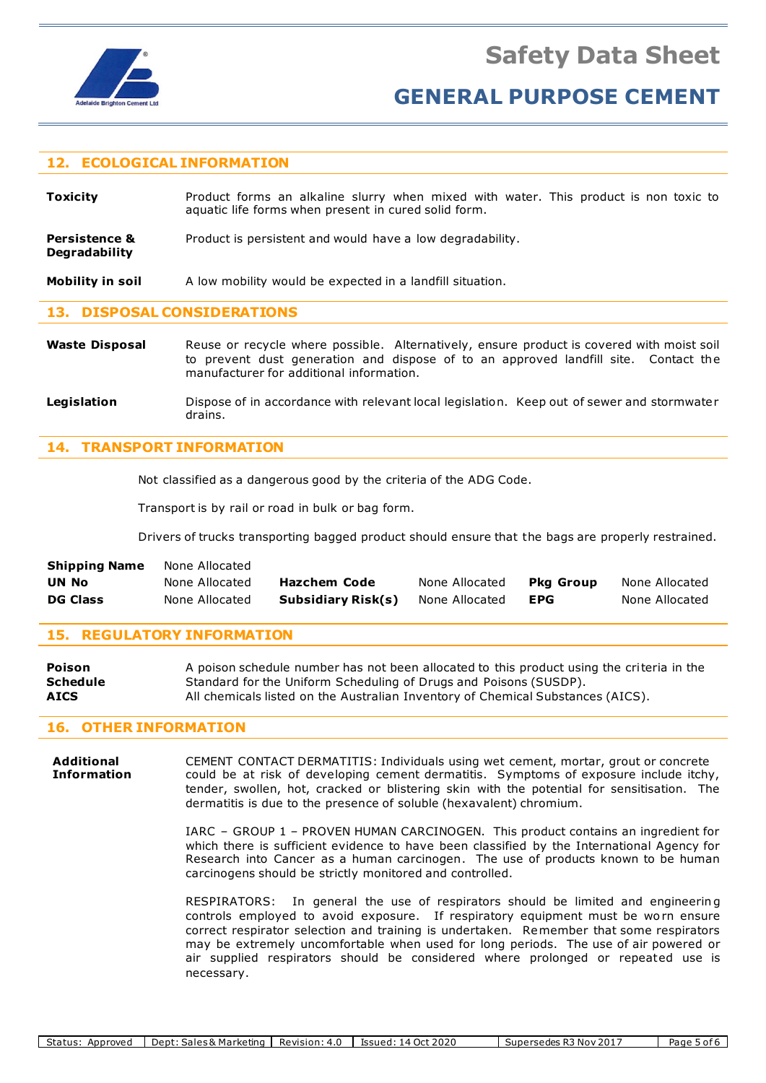

### **12. ECOLOGICAL INFORMATION**

**Toxicity** Product forms an alkaline slurry when mixed with water. This product is non toxic to aquatic life forms when present in cured solid form.

**Persistence &** Product is persistent and would have a low degradability. **Degradability**

**Mobility in soil** A low mobility would be expected in a landfill situation.

#### **13. DISPOSAL CONSIDERATIONS**

- Waste Disposal Reuse or recycle where possible. Alternatively, ensure product is covered with moist soil to prevent dust generation and dispose of to an approved landfill site. Contact the manufacturer for additional information.
- Legislation **Dispose of in accordance with relevant local legislation. Keep out of sewer and stormwater** drains.

#### **14. TRANSPORT INFORMATION**

Not classified as a dangerous good by the criteria of the ADG Code.

Transport is by rail or road in bulk or bag form.

Drivers of trucks transporting bagged product should ensure that the bags are properly restrained.

| <b>Shipping Name</b> | None Allocated |                    |                |           |                |
|----------------------|----------------|--------------------|----------------|-----------|----------------|
| UN No                | None Allocated | Hazchem Code       | None Allocated | Pka Group | None Allocated |
| <b>DG Class</b>      | None Allocated | Subsidiary Risk(s) | None Allocated | EPG       | None Allocated |

#### **15. REGULATORY INFORMATION**

| <b>Poison</b>   | A poison schedule number has not been allocated to this product using the criteria in the |
|-----------------|-------------------------------------------------------------------------------------------|
| <b>Schedule</b> | Standard for the Uniform Scheduling of Drugs and Poisons (SUSDP).                         |
| <b>AICS</b>     | All chemicals listed on the Australian Inventory of Chemical Substances (AICS).           |

#### **16. OTHER INFORMATION**

**Additional** CEMENT CONTACT DERMATITIS: Individuals using wet cement, mortar, grout or concrete **Information** could be at risk of developing cement dermatitis. Symptoms of exposure include itchy, tender, swollen, hot, cracked or blistering skin with the potential for sensitisation. The dermatitis is due to the presence of soluble (hexavalent) chromium.

> IARC – GROUP 1 – PROVEN HUMAN CARCINOGEN. This product contains an ingredient for which there is sufficient evidence to have been classified by the International Agency for Research into Cancer as a human carcinogen. The use of products known to be human carcinogens should be strictly monitored and controlled.

> RESPIRATORS: In general the use of respirators should be limited and engineering controls employed to avoid exposure. If respiratory equipment must be worn ensure correct respirator selection and training is undertaken. Remember that some respirators may be extremely uncomfortable when used for long periods. The use of air powered or air supplied respirators should be considered where prolonged or repeated use is necessary.